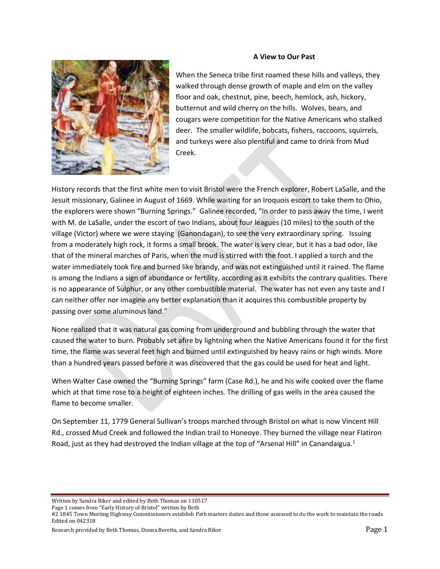### **A View to Our Past**



When the Seneca tribe first roamed these hills and valleys, they walked through dense growth of maple and elm on the valley floor and oak, chestnut, pine, beech, hemlock, ash, hickory, butternut and wild cherry on the hills. Wolves, bears, and cougars were competition for the Native Americans who stalked deer. The smaller wildlife, bobcats, fishers, raccoons, squirrels, and turkeys were also plentiful and came to drink from Mud Creek.

History records that the first white men to visit Bristol were the French explorer, Robert LaSalle, and the Jesuit missionary, Galinee in August of 1669. While waiting for an Iroquois escort to take them to Ohio, the explorers were shown "Burning Springs." Galinee recorded, "In order to pass away the time, I went with M. de LaSalle, under the escort of two Indians, about four leagues (10 miles) to the south of the village (Victor) where we were staying (Ganondagan), to see the very extraordinary spring. Issuing from a moderately high rock, it forms a small brook. The water is very clear, but it has a bad odor, like that of the mineral marches of Paris, when the mud is stirred with the foot. I applied a torch and the water immediately took fire and burned like brandy, and was not extinguished until it rained. The flame is among the Indians a sign of abundance or fertility, according as it exhibits the contrary qualities. There is no appearance of Sulphur, or any other combustible material. The water has not even any taste and I can neither offer nor imagine any better explanation than it acquires this combustible property by passing over some aluminous land."

None realized that it was natural gas coming from underground and bubbling through the water that caused the water to burn. Probably set afire by lightning when the Native Americans found it for the first time, the flame was several feet high and burned until extinguished by heavy rains or high winds. More than a hundred years passed before it was discovered that the gas could be used for heat and light.

When Walter Case owned the "Burning Springs" farm (Case Rd.), he and his wife cooked over the flame which at that time rose to a height of eighteen inches. The drilling of gas wells in the area caused the flame to become smaller.

On September 11, 1779 General Sullivan's troops marched through Bristol on what is now Vincent Hill Rd., crossed Mud Creek and followed the Indian trail to Honeoye. They burned the village near Flatiron Road, just as they had destroyed the Indian village at the top of "Arsenal Hill" in Canandaigua.<sup>1</sup>

Written by Sandra Riker and edited by Beth Thomas on 110517

Page 1 comes from "Early History of Bristol" written by Beth

Research provided by Beth Thomas, Donna Beretta, and Sandra Riker Page 1 and Sandra Riker Page 1

<sup>#2 1845</sup> Town Meeting Highway Commissioners establish Path masters duties and those assessed to do the work to maintain the roads Edited on 042318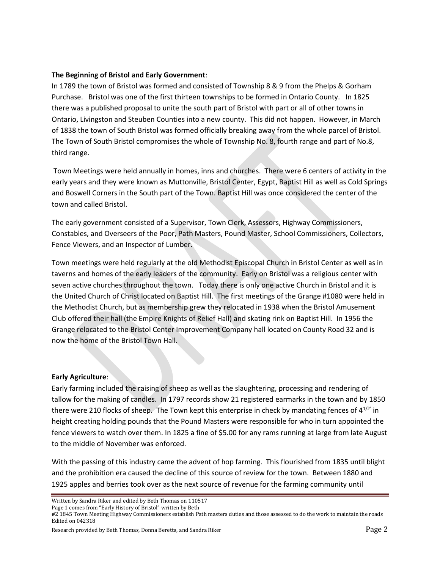# **The Beginning of Bristol and Early Government**:

In 1789 the town of Bristol was formed and consisted of Township 8 & 9 from the Phelps & Gorham Purchase. Bristol was one of the first thirteen townships to be formed in Ontario County. In 1825 there was a published proposal to unite the south part of Bristol with part or all of other towns in Ontario, Livingston and Steuben Counties into a new county. This did not happen. However, in March of 1838 the town of South Bristol was formed officially breaking away from the whole parcel of Bristol. The Town of South Bristol compromises the whole of Township No. 8, fourth range and part of No.8, third range.

Town Meetings were held annually in homes, inns and churches. There were 6 centers of activity in the early years and they were known as Muttonville, Bristol Center, Egypt, Baptist Hill as well as Cold Springs and Boswell Corners in the South part of the Town. Baptist Hill was once considered the center of the town and called Bristol.

The early government consisted of a Supervisor, Town Clerk, Assessors, Highway Commissioners, Constables, and Overseers of the Poor, Path Masters, Pound Master, School Commissioners, Collectors, Fence Viewers, and an Inspector of Lumber.

Town meetings were held regularly at the old Methodist Episcopal Church in Bristol Center as well as in taverns and homes of the early leaders of the community. Early on Bristol was a religious center with seven active churches throughout the town. Today there is only one active Church in Bristol and it is the United Church of Christ located on Baptist Hill. The first meetings of the Grange #1080 were held in the Methodist Church, but as membership grew they relocated in 1938 when the Bristol Amusement Club offered their hall (the Empire Knights of Relief Hall) and skating rink on Baptist Hill. In 1956 the Grange relocated to the Bristol Center Improvement Company hall located on County Road 32 and is now the home of the Bristol Town Hall.

# **Early Agriculture**:

Early farming included the raising of sheep as well as the slaughtering, processing and rendering of tallow for the making of candles. In 1797 records show 21 registered earmarks in the town and by 1850 there were 210 flocks of sheep. The Town kept this enterprise in check by mandating fences of  $4^{1/2}$  in height creating holding pounds that the Pound Masters were responsible for who in turn appointed the fence viewers to watch over them. In 1825 a fine of \$5.00 for any rams running at large from late August to the middle of November was enforced.

With the passing of this industry came the advent of hop farming. This flourished from 1835 until blight and the prohibition era caused the decline of this source of review for the town. Between 1880 and 1925 apples and berries took over as the next source of revenue for the farming community until

Written by Sandra Riker and edited by Beth Thomas on 110517

Page 1 comes from "Early History of Bristol" written by Beth

#2 1845 Town Meeting Highway Commissioners establish Path masters duties and those assessed to do the work to maintain the roads Edited on 042318

Research provided by Beth Thomas, Donna Beretta, and Sandra Riker Page 2 and Sandra Riker Page 2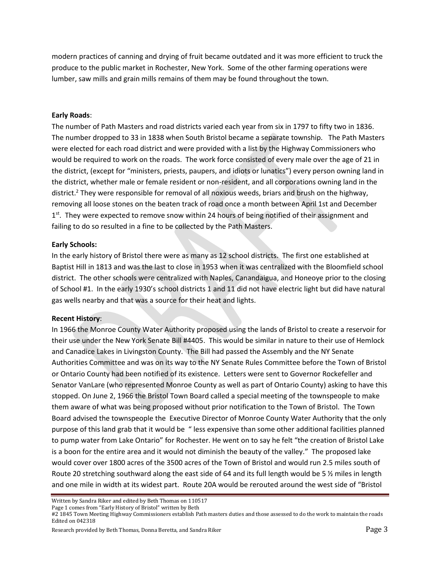modern practices of canning and drying of fruit became outdated and it was more efficient to truck the produce to the public market in Rochester, New York. Some of the other farming operations were lumber, saw mills and grain mills remains of them may be found throughout the town.

#### **Early Roads**:

The number of Path Masters and road districts varied each year from six in 1797 to fifty two in 1836. The number dropped to 33 in 1838 when South Bristol became a separate township. The Path Masters were elected for each road district and were provided with a list by the Highway Commissioners who would be required to work on the roads. The work force consisted of every male over the age of 21 in the district, (except for "ministers, priests, paupers, and idiots or lunatics") every person owning land in the district, whether male or female resident or non-resident, and all corporations owning land in the district.<sup>2</sup> They were responsible for removal of all noxious weeds, briars and brush on the highway, removing all loose stones on the beaten track of road once a month between April 1st and December 1<sup>st</sup>. They were expected to remove snow within 24 hours of being notified of their assignment and failing to do so resulted in a fine to be collected by the Path Masters.

# **Early Schools:**

In the early history of Bristol there were as many as 12 school districts. The first one established at Baptist Hill in 1813 and was the last to close in 1953 when it was centralized with the Bloomfield school district. The other schools were centralized with Naples, Canandaigua, and Honeoye prior to the closing of School #1. In the early 1930's school districts 1 and 11 did not have electric light but did have natural gas wells nearby and that was a source for their heat and lights.

# **Recent History**:

In 1966 the Monroe County Water Authority proposed using the lands of Bristol to create a reservoir for their use under the New York Senate Bill #4405. This would be similar in nature to their use of Hemlock and Canadice Lakes in Livingston County. The Bill had passed the Assembly and the NY Senate Authorities Committee and was on its way to the NY Senate Rules Committee before the Town of Bristol or Ontario County had been notified of its existence. Letters were sent to Governor Rockefeller and Senator VanLare (who represented Monroe County as well as part of Ontario County) asking to have this stopped. On June 2, 1966 the Bristol Town Board called a special meeting of the townspeople to make them aware of what was being proposed without prior notification to the Town of Bristol. The Town Board advised the townspeople the Executive Director of Monroe County Water Authority that the only purpose of this land grab that it would be " less expensive than some other additional facilities planned to pump water from Lake Ontario" for Rochester. He went on to say he felt "the creation of Bristol Lake is a boon for the entire area and it would not diminish the beauty of the valley." The proposed lake would cover over 1800 acres of the 3500 acres of the Town of Bristol and would run 2.5 miles south of Route 20 stretching southward along the east side of 64 and its full length would be 5 ½ miles in length and one mile in width at its widest part. Route 20A would be rerouted around the west side of "Bristol

Research provided by Beth Thomas, Donna Beretta, and Sandra Riker **Page 3** and Sandra Riker Page 3

Written by Sandra Riker and edited by Beth Thomas on 110517

Page 1 comes from "Early History of Bristol" written by Beth

<sup>#2 1845</sup> Town Meeting Highway Commissioners establish Path masters duties and those assessed to do the work to maintain the roads Edited on 042318